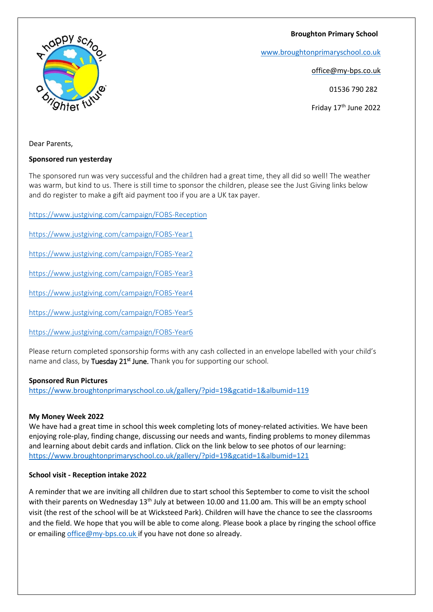**Broughton Primary School**



[www.broughtonprimaryschool.co.uk](http://www.broughtonprimaryschool.co.u/)

office@my-bps.co.uk

01536 790 282

Friday 17<sup>th</sup> June 2022

Dear Parents,

## **Sponsored run yesterday**

The sponsored run was very successful and the children had a great time, they all did so well! The weather was warm, but kind to us. There is still time to sponsor the children, please see the Just Giving links below and do register to make a gift aid payment too if you are a UK tax payer.

<https://www.justgiving.com/campaign/FOBS-Reception>

<https://www.justgiving.com/campaign/FOBS-Year1>

<https://www.justgiving.com/campaign/FOBS-Year2>

<https://www.justgiving.com/campaign/FOBS-Year3>

<https://www.justgiving.com/campaign/FOBS-Year4>

<https://www.justgiving.com/campaign/FOBS-Year5>

<https://www.justgiving.com/campaign/FOBS-Year6>

Please return completed sponsorship forms with any cash collected in an envelope labelled with your child's name and class, by Tuesday 21<sup>st</sup> June. Thank you for supporting our school.

## **Sponsored Run Pictures**

<https://www.broughtonprimaryschool.co.uk/gallery/?pid=19&gcatid=1&albumid=119>

## **My Money Week 2022**

We have had a great time in school this week completing lots of money-related activities. We have been enjoying role-play, finding change, discussing our needs and wants, finding problems to money dilemmas and learning about debit cards and inflation. Click on the link below to see photos of our learning: <https://www.broughtonprimaryschool.co.uk/gallery/?pid=19&gcatid=1&albumid=121>

## **School visit - Reception intake 2022**

A reminder that we are inviting all children due to start school this September to come to visit the school with their parents on Wednesday 13<sup>th</sup> July at between 10.00 and 11.00 am. This will be an empty school visit (the rest of the school will be at Wicksteed Park). Children will have the chance to see the classrooms and the field. We hope that you will be able to come along. Please book a place by ringing the school office or emailin[g office@my-bps.co.uk](mailto:office@my-bps.co.uk) if you have not done so already.